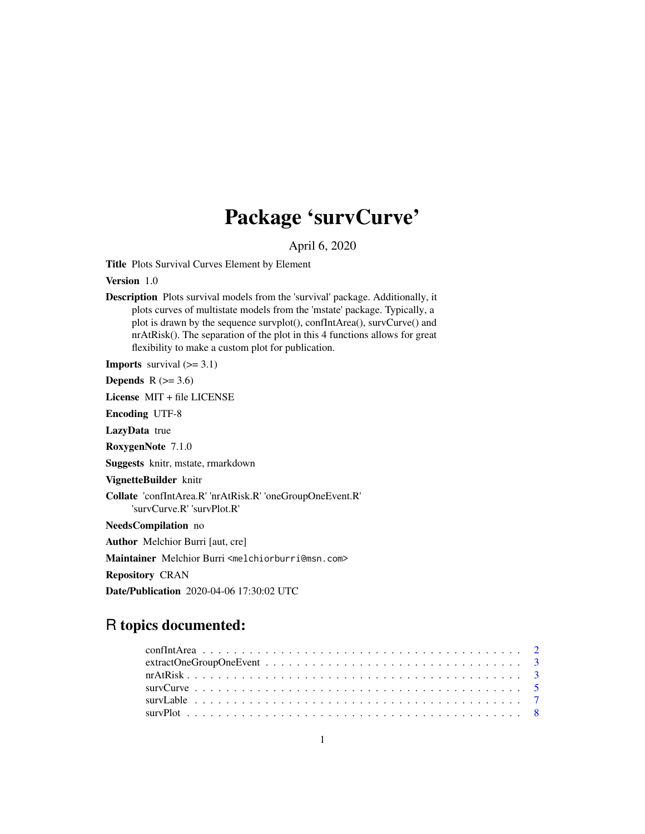# Package 'survCurve'

April 6, 2020

Title Plots Survival Curves Element by Element

Version 1.0

Description Plots survival models from the 'survival' package. Additionally, it plots curves of multistate models from the 'mstate' package. Typically, a plot is drawn by the sequence survplot(), confIntArea(), survCurve() and nrAtRisk(). The separation of the plot in this 4 functions allows for great flexibility to make a custom plot for publication.

**Imports** survival  $(>= 3.1)$ 

Depends  $R$  ( $>= 3.6$ )

License MIT + file LICENSE

Encoding UTF-8

LazyData true

RoxygenNote 7.1.0

Suggests knitr, mstate, rmarkdown

VignetteBuilder knitr

Collate 'confIntArea.R' 'nrAtRisk.R' 'oneGroupOneEvent.R' 'survCurve.R' 'survPlot.R'

NeedsCompilation no

Author Melchior Burri [aut, cre]

Maintainer Melchior Burri <melchiorburri@msn.com>

Repository CRAN

Date/Publication 2020-04-06 17:30:02 UTC

# R topics documented: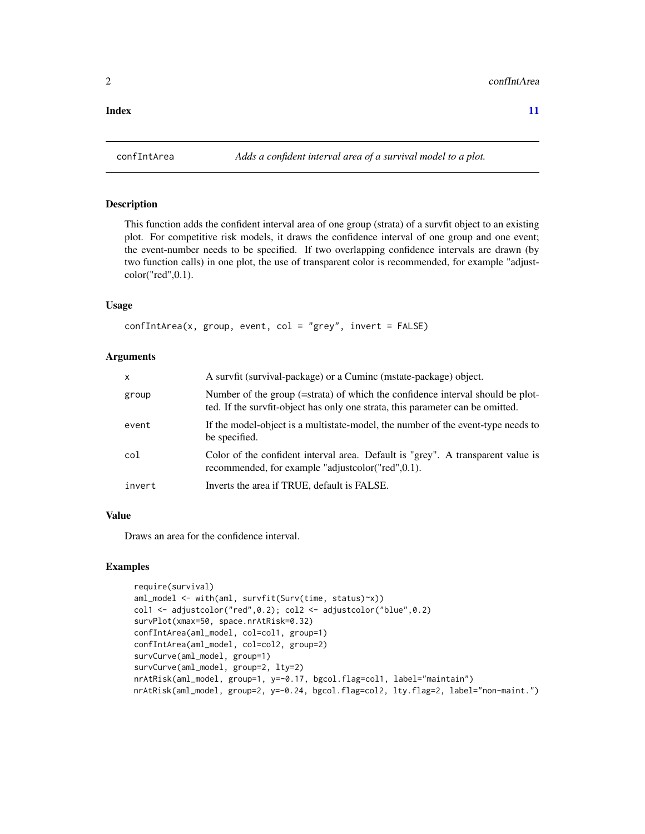<span id="page-1-0"></span>**Index** [11](#page-10-0)

#### Description

This function adds the confident interval area of one group (strata) of a survfit object to an existing plot. For competitive risk models, it draws the confidence interval of one group and one event; the event-number needs to be specified. If two overlapping confidence intervals are drawn (by two function calls) in one plot, the use of transparent color is recommended, for example "adjustcolor("red",0.1).

#### Usage

```
confIntArea(x, group, event, col = "grey", invert = FALSE)
```
#### **Arguments**

| $\mathsf{x}$ | A survfit (survival-package) or a Cuminc (mstate-package) object.                                                                                                |
|--------------|------------------------------------------------------------------------------------------------------------------------------------------------------------------|
| group        | Number of the group (=strata) of which the confidence interval should be plot-<br>ted. If the survfit-object has only one strata, this parameter can be omitted. |
| event        | If the model-object is a multistate-model, the number of the event-type needs to<br>be specified.                                                                |
| col          | Color of the confident interval area. Default is "grey". A transparent value is<br>recommended, for example "adjustcolor("red",0.1).                             |
| invert       | Inverts the area if TRUE, default is FALSE.                                                                                                                      |

# Value

Draws an area for the confidence interval.

# Examples

```
require(survival)
aml_model <- with(aml, survfit(Surv(time, status)~x))
col1 <- adjustcolor("red",0.2); col2 <- adjustcolor("blue",0.2)
survPlot(xmax=50, space.nrAtRisk=0.32)
confIntArea(aml_model, col=col1, group=1)
confIntArea(aml_model, col=col2, group=2)
survCurve(aml_model, group=1)
survCurve(aml_model, group=2, lty=2)
nrAtRisk(aml_model, group=1, y=-0.17, bgcol.flag=col1, label="maintain")
nrAtRisk(aml_model, group=2, y=-0.24, bgcol.flag=col2, lty.flag=2, label="non-maint.")
```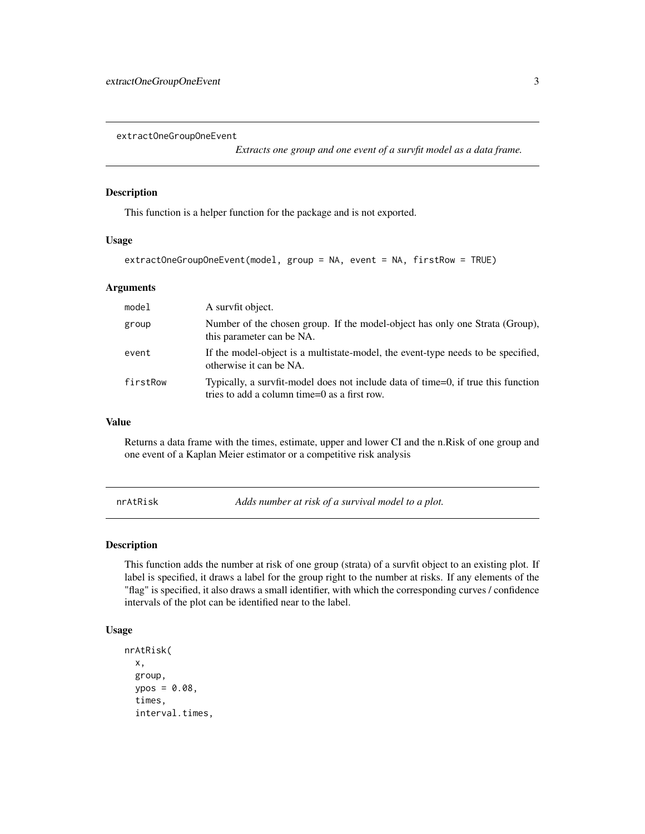<span id="page-2-0"></span>extractOneGroupOneEvent

*Extracts one group and one event of a survfit model as a data frame.*

#### Description

This function is a helper function for the package and is not exported.

#### Usage

extractOneGroupOneEvent(model, group = NA, event = NA, firstRow = TRUE)

#### Arguments

| model    | A survfit object.                                                                                                                 |
|----------|-----------------------------------------------------------------------------------------------------------------------------------|
| group    | Number of the chosen group. If the model-object has only one Strata (Group),<br>this parameter can be NA.                         |
| event    | If the model-object is a multistate-model, the event-type needs to be specified,<br>otherwise it can be NA.                       |
| firstRow | Typically, a survfit-model does not include data of time=0, if true this function<br>tries to add a column time=0 as a first row. |

#### Value

Returns a data frame with the times, estimate, upper and lower CI and the n.Risk of one group and one event of a Kaplan Meier estimator or a competitive risk analysis

nrAtRisk *Adds number at risk of a survival model to a plot.*

#### Description

This function adds the number at risk of one group (strata) of a survfit object to an existing plot. If label is specified, it draws a label for the group right to the number at risks. If any elements of the "flag" is specified, it also draws a small identifier, with which the corresponding curves / confidence intervals of the plot can be identified near to the label.

#### Usage

```
nrAtRisk(
  x,
  group,
 ypos = 0.08,
  times,
  interval.times,
```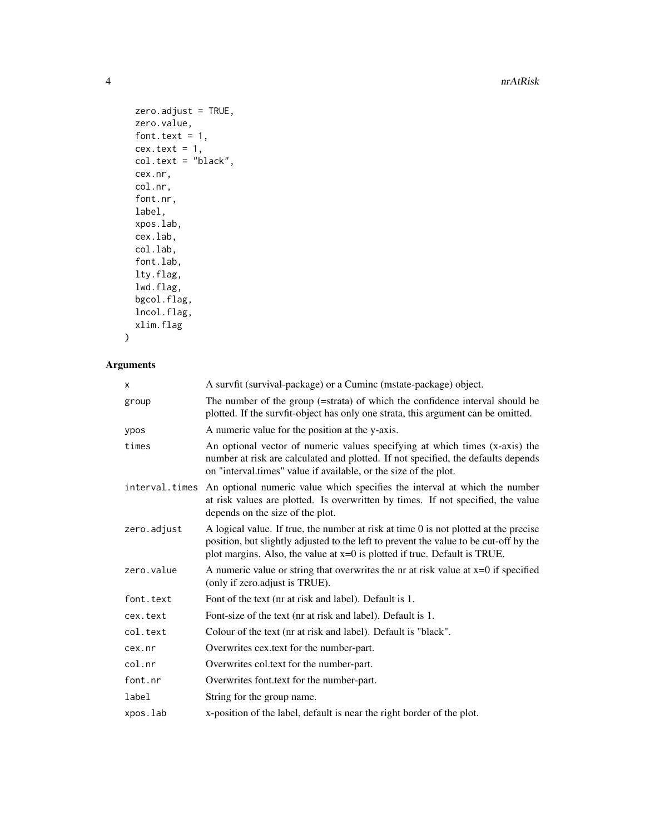4 and 1 nrAtRisk and 1 nrAtRisk and 1 nrAtRisk and 1 nrAtRisk and 1 nrAtRisk and 1 nrAtRisk and 1 nr

```
zero.addjust = TRUE,zero.value,
font.text = 1,
cex.text = 1,
col.text = "black",
cex.nr,
col.nr,
font.nr,
label,
xpos.lab,
cex.lab,
col.lab,
font.lab,
lty.flag,
lwd.flag,
bgcol.flag,
lncol.flag,
xlim.flag
```
# $\mathcal{L}$

# Arguments

| x           | A survfit (survival-package) or a Cuminc (mstate-package) object.                                                                                                                                                                                            |
|-------------|--------------------------------------------------------------------------------------------------------------------------------------------------------------------------------------------------------------------------------------------------------------|
| group       | The number of the group (=strata) of which the confidence interval should be<br>plotted. If the survfit-object has only one strata, this argument can be omitted.                                                                                            |
| ypos        | A numeric value for the position at the y-axis.                                                                                                                                                                                                              |
| times       | An optional vector of numeric values specifying at which times (x-axis) the<br>number at risk are calculated and plotted. If not specified, the defaults depends<br>on "interval.times" value if available, or the size of the plot.                         |
|             | interval times An optional numeric value which specifies the interval at which the number<br>at risk values are plotted. Is overwritten by times. If not specified, the value<br>depends on the size of the plot.                                            |
| zero.adjust | A logical value. If true, the number at risk at time 0 is not plotted at the precise<br>position, but slightly adjusted to the left to prevent the value to be cut-off by the<br>plot margins. Also, the value at $x=0$ is plotted if true. Default is TRUE. |
| zero.value  | A numeric value or string that overwrites the nr at risk value at $x=0$ if specified<br>(only if zero.adjust is TRUE).                                                                                                                                       |
| font.text   | Font of the text (nr at risk and label). Default is 1.                                                                                                                                                                                                       |
| cex.text    | Font-size of the text (nr at risk and label). Default is 1.                                                                                                                                                                                                  |
| col.text    | Colour of the text (nr at risk and label). Default is "black".                                                                                                                                                                                               |
| cex.nr      | Overwrites cex.text for the number-part.                                                                                                                                                                                                                     |
| col.nr      | Overwrites col.text for the number-part.                                                                                                                                                                                                                     |
| font.nr     | Overwrites font.text for the number-part.                                                                                                                                                                                                                    |
| label       | String for the group name.                                                                                                                                                                                                                                   |
| xpos.lab    | x-position of the label, default is near the right border of the plot.                                                                                                                                                                                       |
|             |                                                                                                                                                                                                                                                              |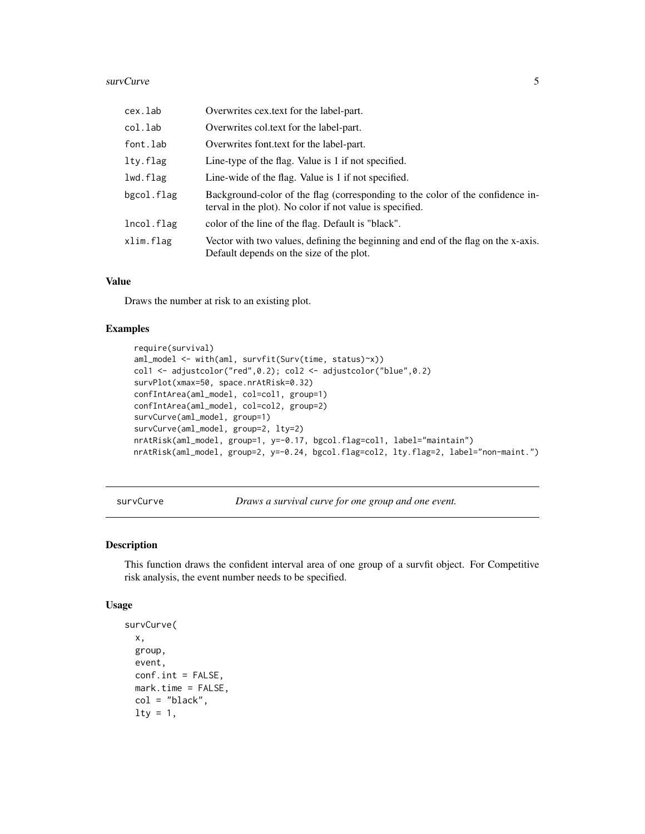#### <span id="page-4-0"></span>survCurve 5

| cex.lab    | Overwrites cex.text for the label-part.                                                                                                    |
|------------|--------------------------------------------------------------------------------------------------------------------------------------------|
| col.lab    | Overwrites col.text for the label-part.                                                                                                    |
| font.lab   | Overwrites font text for the label-part.                                                                                                   |
| lty.flag   | Line-type of the flag. Value is 1 if not specified.                                                                                        |
| lwd.flag   | Line-wide of the flag. Value is 1 if not specified.                                                                                        |
| bgcol.flag | Background-color of the flag (corresponding to the color of the confidence in-<br>terval in the plot). No color if not value is specified. |
| lncol.flag | color of the line of the flag. Default is "black".                                                                                         |
| xlim.flag  | Vector with two values, defining the beginning and end of the flag on the x-axis.<br>Default depends on the size of the plot.              |

#### Value

Draws the number at risk to an existing plot.

#### Examples

```
require(survival)
aml_model <- with(aml, survfit(Surv(time, status)~x))
col1 <- adjustcolor("red",0.2); col2 <- adjustcolor("blue",0.2)
survPlot(xmax=50, space.nrAtRisk=0.32)
confIntArea(aml_model, col=col1, group=1)
confIntArea(aml_model, col=col2, group=2)
survCurve(aml_model, group=1)
survCurve(aml_model, group=2, lty=2)
nrAtRisk(aml_model, group=1, y=-0.17, bgcol.flag=col1, label="maintain")
nrAtRisk(aml_model, group=2, y=-0.24, bgcol.flag=col2, lty.flag=2, label="non-maint.")
```
survCurve *Draws a survival curve for one group and one event.*

# Description

This function draws the confident interval area of one group of a survfit object. For Competitive risk analysis, the event number needs to be specified.

#### Usage

```
survCurve(
 x,
 group,
 event,
 conf.int = FALSE,mark.time = FALSE,
  col = "black",\frac{1}{1}
```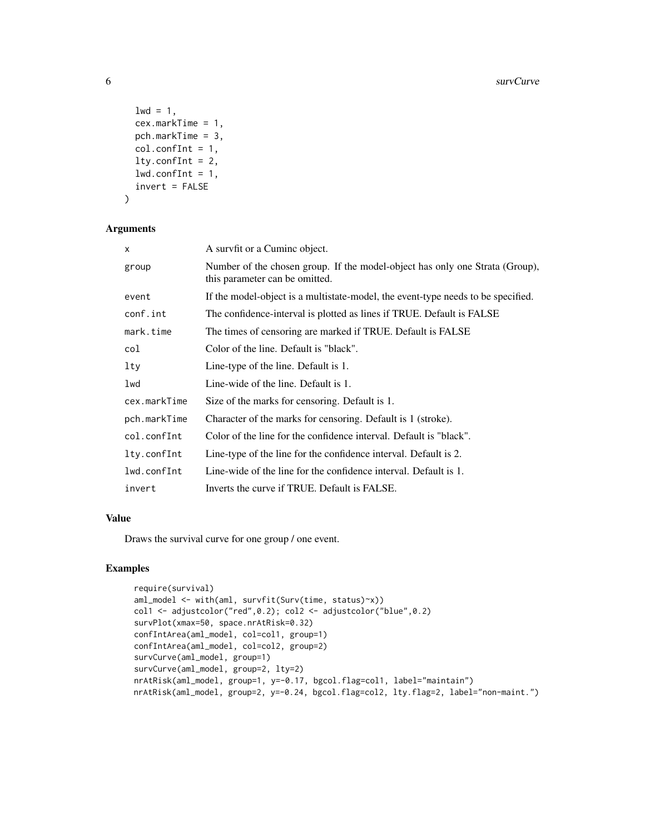```
1wd = 1,
  cex.markTime = 1,
  pch.markTime = 3,
  col.configInt = 1,
  lty.configInt = 2,
  lwd.contrib = 1,invert = FALSE
\mathcal{L}
```
#### Arguments

| X            | A survfit or a Cumine object.                                                                                  |
|--------------|----------------------------------------------------------------------------------------------------------------|
| group        | Number of the chosen group. If the model-object has only one Strata (Group),<br>this parameter can be omitted. |
| event        | If the model-object is a multistate-model, the event-type needs to be specified.                               |
| conf.int     | The confidence-interval is plotted as lines if TRUE. Default is FALSE                                          |
| mark.time    | The times of censoring are marked if TRUE. Default is FALSE                                                    |
| col          | Color of the line. Default is "black".                                                                         |
| lty          | Line-type of the line. Default is 1.                                                                           |
| lwd          | Line-wide of the line. Default is 1.                                                                           |
| cex.markTime | Size of the marks for censoring. Default is 1.                                                                 |
| pch.markTime | Character of the marks for censoring. Default is 1 (stroke).                                                   |
| col.confInt  | Color of the line for the confidence interval. Default is "black".                                             |
| lty.confInt  | Line-type of the line for the confidence interval. Default is 2.                                               |
| lwd.confInt  | Line-wide of the line for the confidence interval. Default is 1.                                               |
| invert       | Inverts the curve if TRUE. Default is FALSE.                                                                   |

# Value

Draws the survival curve for one group / one event.

#### Examples

```
require(survival)
aml_model <- with(aml, survfit(Surv(time, status)~x))
col1 <- adjustcolor("red",0.2); col2 <- adjustcolor("blue",0.2)
survPlot(xmax=50, space.nrAtRisk=0.32)
confIntArea(aml_model, col=col1, group=1)
confIntArea(aml_model, col=col2, group=2)
survCurve(aml_model, group=1)
survCurve(aml_model, group=2, lty=2)
nrAtRisk(aml_model, group=1, y=-0.17, bgcol.flag=col1, label="maintain")
nrAtRisk(aml_model, group=2, y=-0.24, bgcol.flag=col2, lty.flag=2, label="non-maint.")
```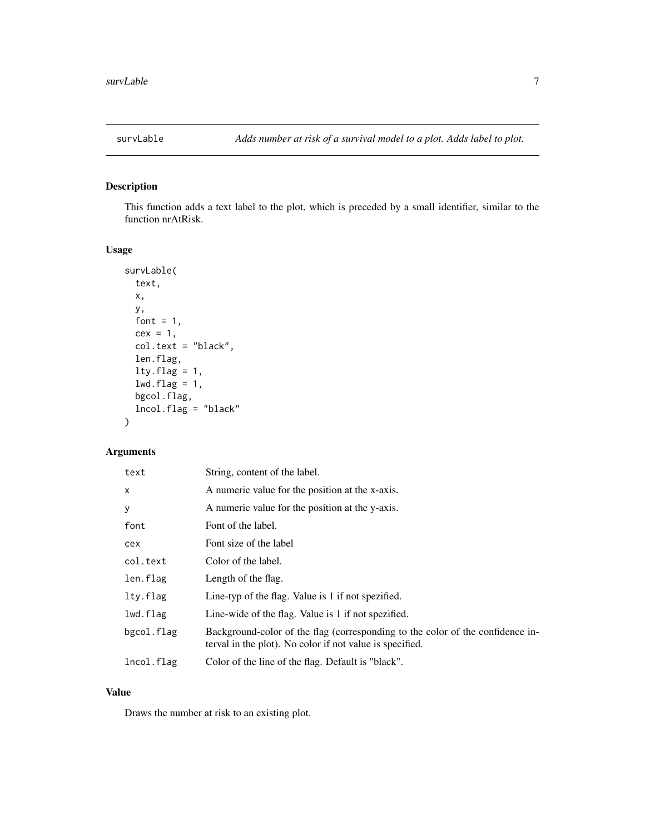<span id="page-6-0"></span>

# Description

This function adds a text label to the plot, which is preceded by a small identifier, similar to the function nrAtRisk.

# Usage

```
survLable(
  text,
 x,
 y,
 font = 1,
 cex = 1,
 col.text = "black",
  len.flag,
 lty.flag = 1,lwd.flag = 1,
 bgcol.flag,
  lncol.flag = "black"
)
```
# Arguments

| text       | String, content of the label.                                                                                                              |
|------------|--------------------------------------------------------------------------------------------------------------------------------------------|
| X          | A numeric value for the position at the x-axis.                                                                                            |
| y          | A numeric value for the position at the y-axis.                                                                                            |
| font       | Font of the label.                                                                                                                         |
| cex        | Font size of the label                                                                                                                     |
| col.text   | Color of the label.                                                                                                                        |
| len.flag   | Length of the flag.                                                                                                                        |
| lty.flag   | Line-typ of the flag. Value is 1 if not spezified.                                                                                         |
| lwd.flag   | Line-wide of the flag. Value is 1 if not spezified.                                                                                        |
| bgcol.flag | Background-color of the flag (corresponding to the color of the confidence in-<br>terval in the plot). No color if not value is specified. |
| lncol.flag | Color of the line of the flag. Default is "black".                                                                                         |

#### Value

Draws the number at risk to an existing plot.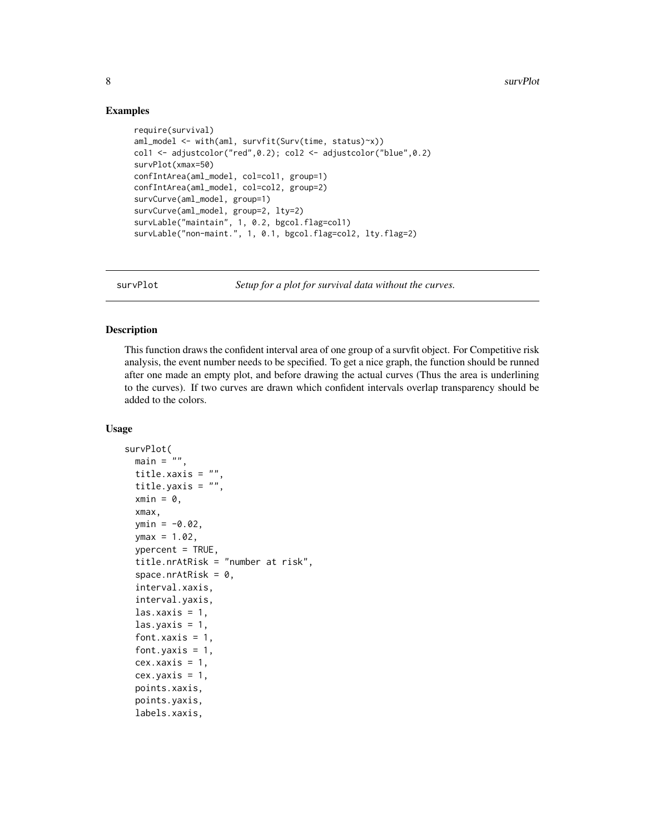#### Examples

```
require(survival)
aml_model <- with(aml, survfit(Surv(time, status)~x))
col1 <- adjustcolor("red",0.2); col2 <- adjustcolor("blue",0.2)
survPlot(xmax=50)
confIntArea(aml_model, col=col1, group=1)
confIntArea(aml_model, col=col2, group=2)
survCurve(aml_model, group=1)
survCurve(aml_model, group=2, lty=2)
survLable("maintain", 1, 0.2, bgcol.flag=col1)
survLable("non-maint.", 1, 0.1, bgcol.flag=col2, lty.flag=2)
```
survPlot *Setup for a plot for survival data without the curves.*

# **Description**

This function draws the confident interval area of one group of a survfit object. For Competitive risk analysis, the event number needs to be specified. To get a nice graph, the function should be runned after one made an empty plot, and before drawing the actual curves (Thus the area is underlining to the curves). If two curves are drawn which confident intervals overlap transparency should be added to the colors.

#### Usage

```
survPlot(
 main = "".title.xaxis = "",
  title.yaxis = "",
  xmin = 0,
  xmax,
  ymin = -0.02,
 ymax = 1.02,
  ypercent = TRUE,
  title.nrAtRisk = "number at risk",
  space.nrAtRisk = 0,
  interval.xaxis,
  interval.yaxis,
  \text{las.xaxis} = 1,\text{las.yaxis} = 1,
  font.xaxis = 1,
  font. vaxis = 1,
  cex.xaxis = 1,
  cex.yaxis = 1,
  points.xaxis,
  points.yaxis,
  labels.xaxis,
```
<span id="page-7-0"></span>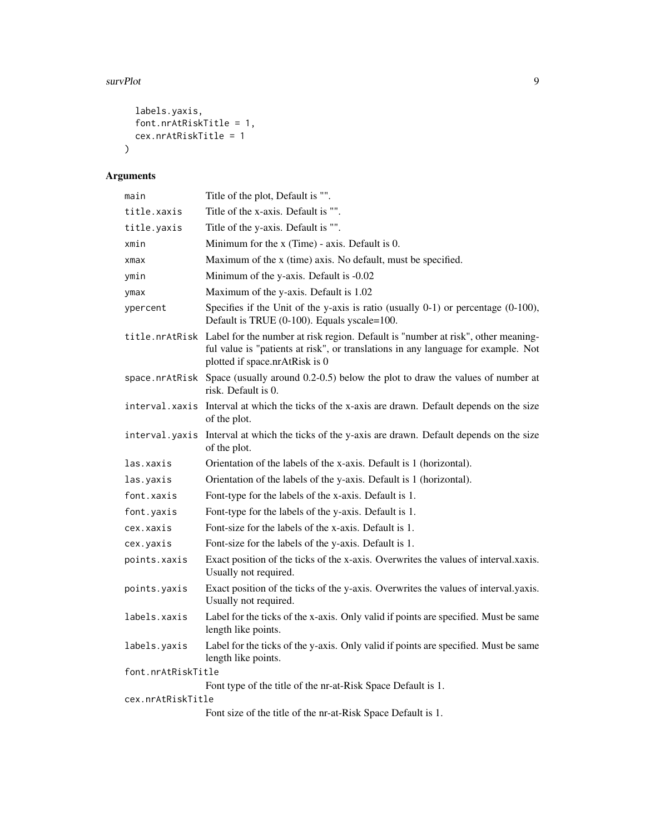#### survPlot 9

```
labels.yaxis,
  font.nrAtRiskTitle = 1,
  cex.nrAtRiskTitle = 1
\mathcal{L}
```
# Arguments

| main               | Title of the plot, Default is "".                                                                                                                                                                                      |
|--------------------|------------------------------------------------------------------------------------------------------------------------------------------------------------------------------------------------------------------------|
| title.xaxis        | Title of the x-axis. Default is "".                                                                                                                                                                                    |
| title.yaxis        | Title of the y-axis. Default is "".                                                                                                                                                                                    |
| xmin               | Minimum for the $x$ (Time) - axis. Default is 0.                                                                                                                                                                       |
| $x$ ma $x$         | Maximum of the x (time) axis. No default, must be specified.                                                                                                                                                           |
| ymin               | Minimum of the y-axis. Default is -0.02                                                                                                                                                                                |
| ymax               | Maximum of the y-axis. Default is 1.02                                                                                                                                                                                 |
| ypercent           | Specifies if the Unit of the y-axis is ratio (usually $0-1$ ) or percentage $(0-100)$ ,<br>Default is TRUE (0-100). Equals yscale=100.                                                                                 |
|                    | title.nrAtRisk Label for the number at risk region. Default is "number at risk", other meaning-<br>ful value is "patients at risk", or translations in any language for example. Not<br>plotted if space.nrAtRisk is 0 |
|                    | space.nrAtRisk Space (usually around 0.2-0.5) below the plot to draw the values of number at<br>risk. Default is 0.                                                                                                    |
|                    | interval. xaxis Interval at which the ticks of the x-axis are drawn. Default depends on the size<br>of the plot.                                                                                                       |
| interval.yaxis     | Interval at which the ticks of the y-axis are drawn. Default depends on the size<br>of the plot.                                                                                                                       |
| las.xaxis          | Orientation of the labels of the x-axis. Default is 1 (horizontal).                                                                                                                                                    |
| las.yaxis          |                                                                                                                                                                                                                        |
|                    | Orientation of the labels of the y-axis. Default is 1 (horizontal).                                                                                                                                                    |
| font.xaxis         | Font-type for the labels of the x-axis. Default is 1.                                                                                                                                                                  |
| font.yaxis         | Font-type for the labels of the y-axis. Default is 1.                                                                                                                                                                  |
| cex.xaxis          | Font-size for the labels of the x-axis. Default is 1.                                                                                                                                                                  |
| cex.yaxis          | Font-size for the labels of the y-axis. Default is 1.                                                                                                                                                                  |
| points.xaxis       | Exact position of the ticks of the x-axis. Overwrites the values of interval.xaxis.<br>Usually not required.                                                                                                           |
| points.yaxis       | Exact position of the ticks of the y-axis. Overwrites the values of interval.yaxis.<br>Usually not required.                                                                                                           |
| labels.xaxis       | Label for the ticks of the x-axis. Only valid if points are specified. Must be same<br>length like points.                                                                                                             |
| labels.yaxis       | Label for the ticks of the y-axis. Only valid if points are specified. Must be same<br>length like points.                                                                                                             |
| font.nrAtRiskTitle |                                                                                                                                                                                                                        |
|                    | Font type of the title of the nr-at-Risk Space Default is 1.                                                                                                                                                           |
| cex.nrAtRiskTitle  | Font size of the title of the nr-at-Risk Space Default is 1.                                                                                                                                                           |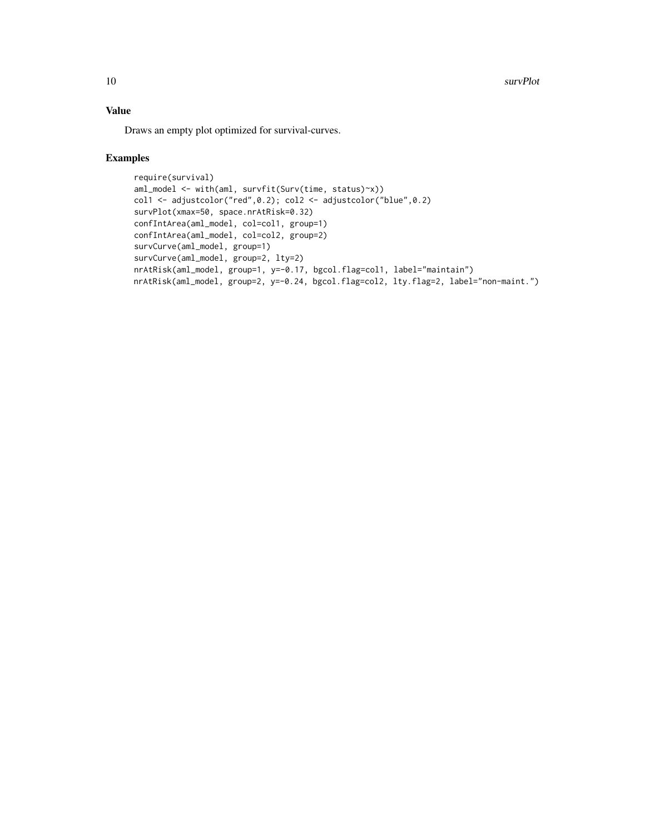10 survPlot

# Value

Draws an empty plot optimized for survival-curves.

#### Examples

```
require(survival)
aml_model <- with(aml, survfit(Surv(time, status)~x))
col1 <- adjustcolor("red",0.2); col2 <- adjustcolor("blue",0.2)
survPlot(xmax=50, space.nrAtRisk=0.32)
confIntArea(aml_model, col=col1, group=1)
confIntArea(aml_model, col=col2, group=2)
survCurve(aml_model, group=1)
survCurve(aml_model, group=2, lty=2)
nrAtRisk(aml_model, group=1, y=-0.17, bgcol.flag=col1, label="maintain")
nrAtRisk(aml_model, group=2, y=-0.24, bgcol.flag=col2, lty.flag=2, label="non-maint.")
```